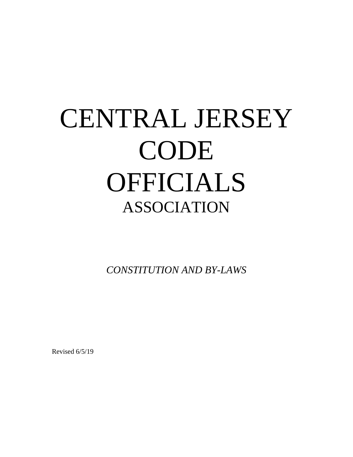# CENTRAL JERSEY CODE OFFICIALS ASSOCIATION

*CONSTITUTION AND BY-LAWS* 

Revised 6/5/19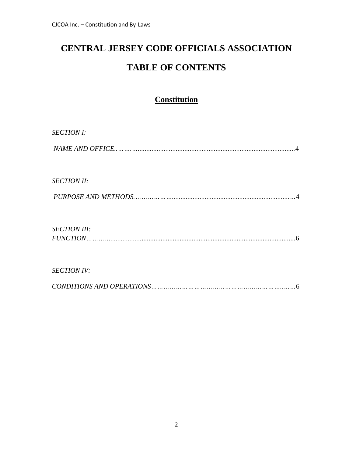# **CENTRAL JERSEY CODE OFFICIALS ASSOCIATION TABLE OF CONTENTS**

### **Constitution**

| <b>SECTION I:</b>     |
|-----------------------|
|                       |
|                       |
| <b>SECTION II:</b>    |
|                       |
|                       |
|                       |
|                       |
| <b>SECTION III:</b>   |
| $FUNCTION \dots 1000$ |
|                       |
| <b>SECTION IV:</b>    |
|                       |
| 6                     |
|                       |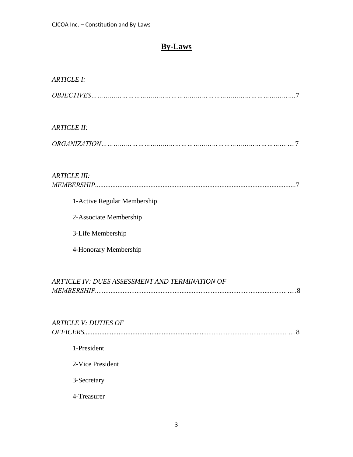### **By-Laws**

| <b>ARTICLE I:</b>                               |
|-------------------------------------------------|
|                                                 |
| <b>ARTICLE II:</b>                              |
|                                                 |
| <b>ARTICLE III:</b>                             |
| 1-Active Regular Membership                     |
| 2-Associate Membership                          |
| 3-Life Membership                               |
| 4-Honorary Membership                           |
| ART'ICLE IV: DUES ASSESSMENT AND TERMINATION OF |
| <b>ARTICLE V: DUTIES OF</b><br>.8               |
| 1-President                                     |
| 2-Vice President                                |
| 3-Secretary                                     |
| 4-Treasurer                                     |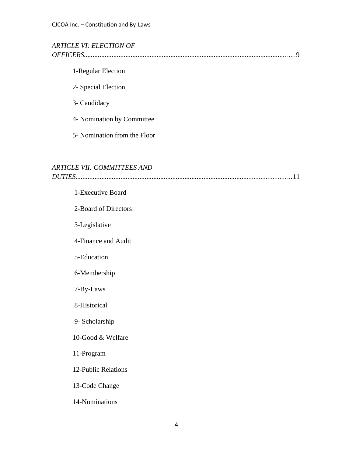#### *ARTICLE VI: ELECTION OF OFFICERS......................................................................................................................….*9

#### 1-Regular Election

- 2- Special Election
- 3- Candidacy
- 4- Nomination by Committee
- 5- Nomination from the Floor

#### *ARTICLE VII: COMMITTEES AND*

|--|

# 1-Executive Board 2-Board of Directors 3-Legislative 4-Finance and Audit 5-Education 6-Membership 7-By-Laws 8-Historical 9- Scholarship 10-Good & Welfare 11-Program 12-Public Relations 13-Code Change 14-Nominations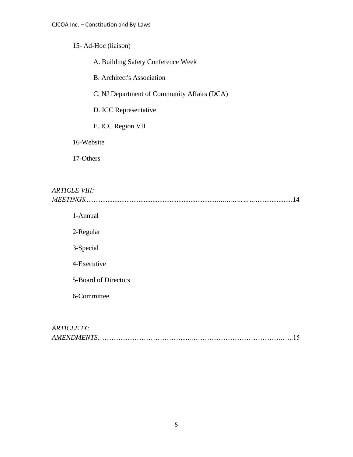#### 15- Ad-Hoc (liaison)

A. Building Safety Conference Week

B. Architect's Association

C. NJ Department of Community Affairs (DCA)

D. ICC Representative

E. ICC Region VII

16-Website

17-Others

### *ARTICLE VIII: MEETINGS.............................................................................…………………..................*14

1-Annual

2-Regular

3-Special

4-Executive

5-Board of Directors

6-Committee

### *ARTICLE IX: AMENDMENTS*………………………………......………………………………….…..15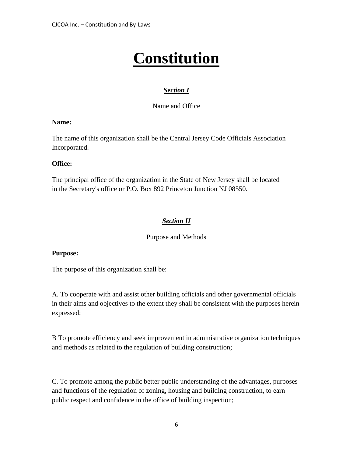# **Constitution**

#### *Section I*

Name and Office

#### **Name:**

The name of this organization shall be the Central Jersey Code Officials Association Incorporated.

#### **Office:**

The principal office of the organization in the State of New Jersey shall be located in the Secretary's office or P.O. Box 892 Princeton Junction NJ 08550.

#### *Section II*

Purpose and Methods

#### **Purpose:**

The purpose of this organization shall be:

A. To cooperate with and assist other building officials and other governmental officials in their aims and objectives to the extent they shall be consistent with the purposes herein expressed;

B To promote efficiency and seek improvement in administrative organization techniques and methods as related to the regulation of building construction;

C. To promote among the public better public understanding of the advantages, purposes and functions of the regulation of zoning, housing and building construction, to earn public respect and confidence in the office of building inspection;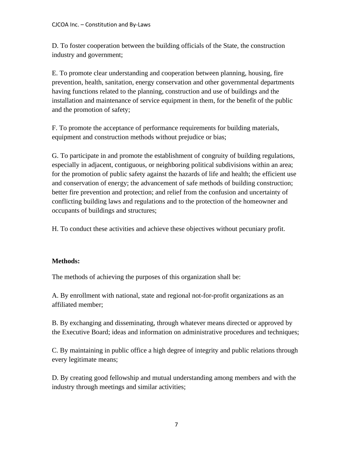D. To foster cooperation between the building officials of the State, the construction industry and government;

E. To promote clear understanding and cooperation between planning, housing, fire prevention, health, sanitation, energy conservation and other governmental departments having functions related to the planning, construction and use of buildings and the installation and maintenance of service equipment in them, for the benefit of the public and the promotion of safety;

F. To promote the acceptance of performance requirements for building materials, equipment and construction methods without prejudice or bias:

G. To participate in and promote the establishment of congruity of building regulations, especially in adjacent, contiguous, or neighboring political subdivisions within an area; for the promotion of public safety against the hazards of life and health; the efficient use and conservation of energy; the advancement of safe methods of building construction; better fire prevention and protection; and relief from the confusion and uncertainty of conflicting building laws and regulations and to the protection of the homeowner and occupants of buildings and structures;

H. To conduct these activities and achieve these objectives without pecuniary profit.

#### **Methods:**

The methods of achieving the purposes of this organization shall be:

A. By enrollment with national, state and regional not-for-profit organizations as an affiliated member;

B. By exchanging and disseminating, through whatever means directed or approved by the Executive Board; ideas and information on administrative procedures and techniques;

C. By maintaining in public office a high degree of integrity and public relations through every legitimate means;

D. By creating good fellowship and mutual understanding among members and with the industry through meetings and similar activities;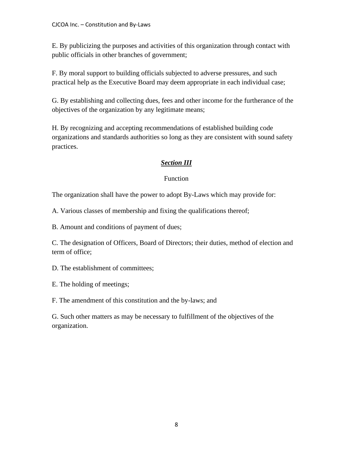E. By publicizing the purposes and activities of this organization through contact with public officials in other branches of government;

F. By moral support to building officials subjected to adverse pressures, and such practical help as the Executive Board may deem appropriate in each individual case;

G. By establishing and collecting dues, fees and other income for the furtherance of the objectives of the organization by any legitimate means;

H. By recognizing and accepting recommendations of established building code organizations and standards authorities so long as they are consistent with sound safety practices.

#### *Section III*

#### Function

The organization shall have the power to adopt By-Laws which may provide for:

A. Various classes of membership and fixing the qualifications thereof;

B. Amount and conditions of payment of dues;

C. The designation of Officers, Board of Directors; their duties, method of election and term of office;

D. The establishment of committees;

E. The holding of meetings;

F. The amendment of this constitution and the by-laws; and

G. Such other matters as may be necessary to fulfillment of the objectives of the organization.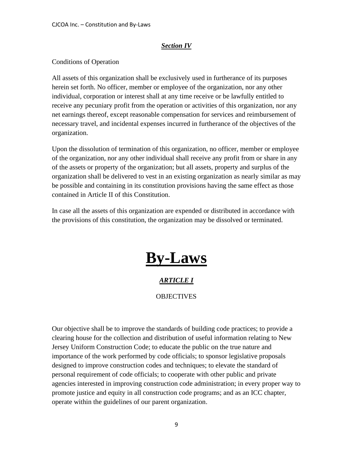#### *Section IV*

#### Conditions of Operation

All assets of this organization shall be exclusively used in furtherance of its purposes herein set forth. No officer, member or employee of the organization, nor any other individual, corporation or interest shall at any time receive or be lawfully entitled to receive any pecuniary profit from the operation or activities of this organization, nor any net earnings thereof, except reasonable compensation for services and reimbursement of necessary travel, and incidental expenses incurred in furtherance of the objectives of the organization.

Upon the dissolution of termination of this organization, no officer, member or employee of the organization, nor any other individual shall receive any profit from or share in any of the assets or property of the organization; but all assets, property and surplus of the organization shall be delivered to vest in an existing organization as nearly similar as may be possible and containing in its constitution provisions having the same effect as those contained in Article II of this Constitution.

In case all the assets of this organization are expended or distributed in accordance with the provisions of this constitution, the organization may be dissolved or terminated.

# **By-Laws**

#### *ARTICLE I*

#### **OBJECTIVES**

Our objective shall be to improve the standards of building code practices; to provide a clearing house for the collection and distribution of useful information relating to New Jersey Uniform Construction Code; to educate the public on the true nature and importance of the work performed by code officials; to sponsor legislative proposals designed to improve construction codes and techniques; to elevate the standard of personal requirement of code officials; to cooperate with other public and private agencies interested in improving construction code administration; in every proper way to promote justice and equity in all construction code programs; and as an ICC chapter, operate within the guidelines of our parent organization.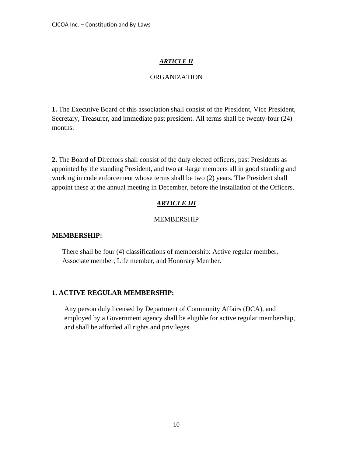#### *ARTICLE II*

#### ORGANIZATION

**1.** The Executive Board of this association shall consist of the President, Vice President, Secretary, Treasurer, and immediate past president. All terms shall be twenty-four (24) months.

**2.** The Board of Directors shall consist of the duly elected officers, past Presidents as appointed by the standing President, and two at -large members all in good standing and working in code enforcement whose terms shall be two (2) years. The President shall appoint these at the annual meeting in December, before the installation of the Officers.

#### *ARTICLE III*

#### MEMBERSHIP

#### **MEMBERSHIP:**

There shall be four (4) classifications of membership: Active regular member, Associate member, Life member, and Honorary Member.

#### **1. ACTIVE REGULAR MEMBERSHIP:**

Any person duly licensed by Department of Community Affairs (DCA), and employed by a Government agency shall be eligible for active regular membership, and shall be afforded all rights and privileges.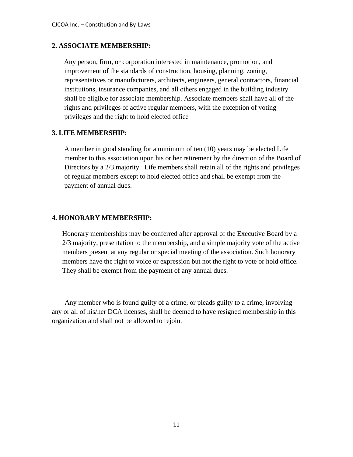#### **2. ASSOCIATE MEMBERSHIP:**

 Any person, firm, or corporation interested in maintenance, promotion, and improvement of the standards of construction, housing, planning, zoning, representatives or manufacturers, architects, engineers, general contractors, financial institutions, insurance companies, and all others engaged in the building industry shall be eligible for associate membership. Associate members shall have all of the rights and privileges of active regular members, with the exception of voting privileges and the right to hold elected office

#### **3. LIFE MEMBERSHIP:**

A member in good standing for a minimum of ten (10) years may be elected Life member to this association upon his or her retirement by the direction of the Board of Directors by a 2/3 majority. Life members shall retain all of the rights and privileges of regular members except to hold elected office and shall be exempt from the payment of annual dues.

#### **4. HONORARY MEMBERSHIP:**

Honorary memberships may be conferred after approval of the Executive Board by a 2/3 majority, presentation to the membership, and a simple majority vote of the active members present at any regular or special meeting of the association. Such honorary members have the right to voice or expression but not the right to vote or hold office. They shall be exempt from the payment of any annual dues.

Any member who is found guilty of a crime, or pleads guilty to a crime, involving any or all of his/her DCA licenses, shall be deemed to have resigned membership in this organization and shall not be allowed to rejoin.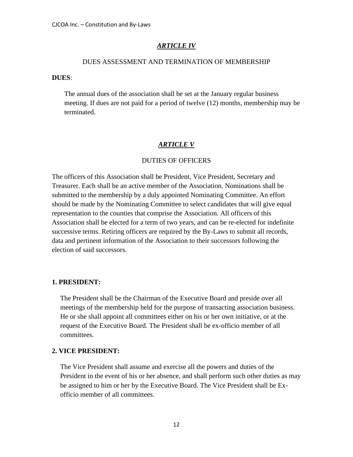#### *ARTICLE IV*

#### DUES ASSESSMENT AND TERMINATION OF MEMBERSHIP

#### **DUES**:

The annual dues of the association shall be set at the January regular business meeting. If dues are not paid for a period of twelve (12) months, membership may be terminated.

#### *ARTICLE V*

#### DUTIES OF OFFICERS

The officers of this Association shall be President, Vice President, Secretary and Treasurer. Each shall be an active member of the Association. Nominations shall be submitted to the membership by a duly appointed Nominating Committee. An effort should be made by the Nominating Committee to select candidates that will give equal representation to the counties that comprise the Association. All officers of this Association shall be elected for a term of two years, and can be re-elected for indefinite successive terms. Retiring officers are required by the By-Laws to submit all records, data and pertinent information of the Association to their successors following the election of said successors.

#### **1. PRESIDENT:**

The President shall be the Chairman of the Executive Board and preside over all meetings of the membership held for the purpose of transacting association business. He or she shall appoint all committees either on his or her own initiative, or at the request of the Executive Board. The President shall be ex-officio member of all committees.

#### **2. VICE PRESIDENT:**

The Vice President shall assume and exercise all the powers and duties of the President in the event of his or her absence, and shall perform such other duties as may be assigned to him or her by the Executive Board. The Vice President shall be Exofficio member of all committees.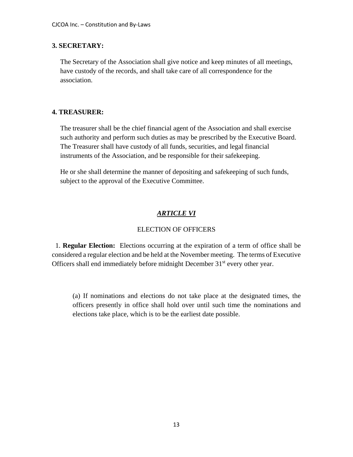#### **3. SECRETARY:**

The Secretary of the Association shall give notice and keep minutes of all meetings, have custody of the records, and shall take care of all correspondence for the association.

#### **4. TREASURER:**

The treasurer shall be the chief financial agent of the Association and shall exercise such authority and perform such duties as may be prescribed by the Executive Board. The Treasurer shall have custody of all funds, securities, and legal financial instruments of the Association, and be responsible for their safekeeping.

He or she shall determine the manner of depositing and safekeeping of such funds, subject to the approval of the Executive Committee.

#### *ARTICLE VI*

#### ELECTION OF OFFICERS

 1. **Regular Election:** Elections occurring at the expiration of a term of office shall be considered a regular election and be held at the November meeting. The terms of Executive Officers shall end immediately before midnight December 31<sup>st</sup> every other year.

(a) If nominations and elections do not take place at the designated times, the officers presently in office shall hold over until such time the nominations and elections take place, which is to be the earliest date possible.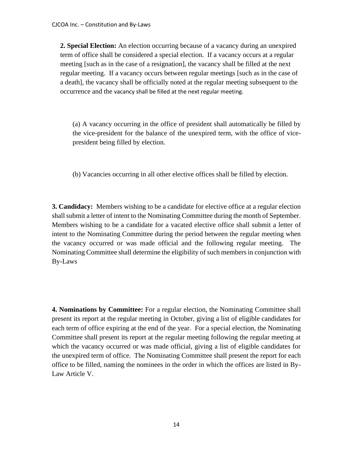**2. Special Election:** An election occurring because of a vacancy during an unexpired term of office shall be considered a special election. If a vacancy occurs at a regular meeting [such as in the case of a resignation], the vacancy shall be filled at the next regular meeting. If a vacancy occurs between regular meetings [such as in the case of a death], the vacancy shall be officially noted at the regular meeting subsequent to the occurrence and the vacancy shall be filled at the next regular meeting.

(a) A vacancy occurring in the office of president shall automatically be filled by the vice-president for the balance of the unexpired term, with the office of vicepresident being filled by election.

(b) Vacancies occurring in all other elective offices shall be filled by election.

**3. Candidacy:** Members wishing to be a candidate for elective office at a regular election shall submit a letter of intent to the Nominating Committee during the month of September. Members wishing to be a candidate for a vacated elective office shall submit a letter of intent to the Nominating Committee during the period between the regular meeting when the vacancy occurred or was made official and the following regular meeting. The Nominating Committee shall determine the eligibility of such members in conjunction with By-Laws

**4. Nominations by Committee:** For a regular election, the Nominating Committee shall present its report at the regular meeting in October, giving a list of eligible candidates for each term of office expiring at the end of the year. For a special election, the Nominating Committee shall present its report at the regular meeting following the regular meeting at which the vacancy occurred or was made official, giving a list of eligible candidates for the unexpired term of office. The Nominating Committee shall present the report for each office to be filled, naming the nominees in the order in which the offices are listed in By-Law Article V.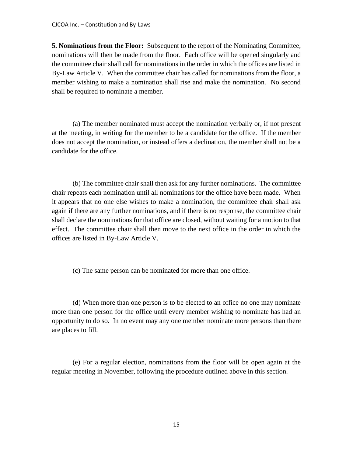**5. Nominations from the Floor:** Subsequent to the report of the Nominating Committee, nominations will then be made from the floor. Each office will be opened singularly and the committee chair shall call for nominations in the order in which the offices are listed in By-Law Article V. When the committee chair has called for nominations from the floor, a member wishing to make a nomination shall rise and make the nomination. No second shall be required to nominate a member.

(a) The member nominated must accept the nomination verbally or, if not present at the meeting, in writing for the member to be a candidate for the office. If the member does not accept the nomination, or instead offers a declination, the member shall not be a candidate for the office.

(b) The committee chair shall then ask for any further nominations. The committee chair repeats each nomination until all nominations for the office have been made. When it appears that no one else wishes to make a nomination, the committee chair shall ask again if there are any further nominations, and if there is no response, the committee chair shall declare the nominations for that office are closed, without waiting for a motion to that effect. The committee chair shall then move to the next office in the order in which the offices are listed in By-Law Article V.

(c) The same person can be nominated for more than one office.

(d) When more than one person is to be elected to an office no one may nominate more than one person for the office until every member wishing to nominate has had an opportunity to do so. In no event may any one member nominate more persons than there are places to fill.

(e) For a regular election, nominations from the floor will be open again at the regular meeting in November, following the procedure outlined above in this section.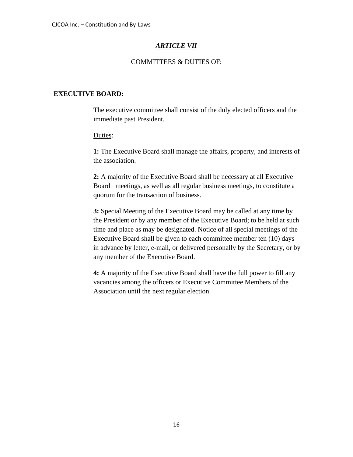#### *ARTICLE VII*

#### COMMITTEES & DUTIES OF:

#### **EXECUTIVE BOARD:**

The executive committee shall consist of the duly elected officers and the immediate past President.

Duties:

**1:** The Executive Board shall manage the affairs, property, and interests of the association.

**2:** A majority of the Executive Board shall be necessary at all Executive Board meetings, as well as all regular business meetings, to constitute a quorum for the transaction of business.

**3:** Special Meeting of the Executive Board may be called at any time by the President or by any member of the Executive Board; to be held at such time and place as may be designated. Notice of all special meetings of the Executive Board shall be given to each committee member ten (10) days in advance by letter, e-mail, or delivered personally by the Secretary, or by any member of the Executive Board.

**4:** A majority of the Executive Board shall have the full power to fill any vacancies among the officers or Executive Committee Members of the Association until the next regular election.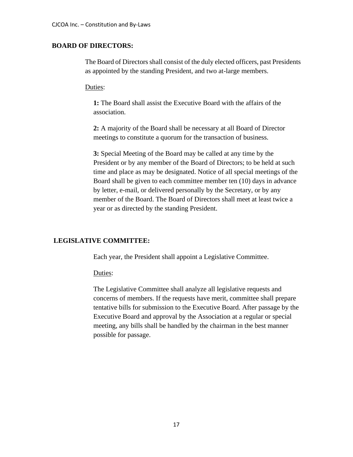#### **BOARD OF DIRECTORS:**

The Board of Directors shall consist of the duly elected officers, past Presidents as appointed by the standing President, and two at-large members.

Duties:

**1:** The Board shall assist the Executive Board with the affairs of the association.

**2:** A majority of the Board shall be necessary at all Board of Director meetings to constitute a quorum for the transaction of business.

**3:** Special Meeting of the Board may be called at any time by the President or by any member of the Board of Directors; to be held at such time and place as may be designated. Notice of all special meetings of the Board shall be given to each committee member ten (10) days in advance by letter, e-mail, or delivered personally by the Secretary, or by any member of the Board. The Board of Directors shall meet at least twice a year or as directed by the standing President.

#### **LEGISLATIVE COMMITTEE:**

Each year, the President shall appoint a Legislative Committee.

Duties:

The Legislative Committee shall analyze all legislative requests and concerns of members. If the requests have merit, committee shall prepare tentative bills for submission to the Executive Board. After passage by the Executive Board and approval by the Association at a regular or special meeting, any bills shall be handled by the chairman in the best manner possible for passage.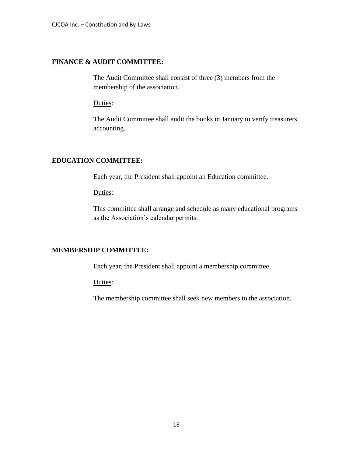#### **FINANCE & AUDIT COMMITTEE:**

The Audit Committee shall consist of three (3) members from the membership of the association.

Duties:

The Audit Committee shall audit the books in January to verify treasurers accounting.

#### **EDUCATION COMMITTEE:**

Each year, the President shall appoint an Education committee.

Duties:

This committee shall arrange and schedule as many educational programs as the Association's calendar permits.

#### **MEMBERSHIP COMMITTEE:**

Each year, the President shall appoint a membership committee.

Duties:

The membership committee shall seek new members to the association.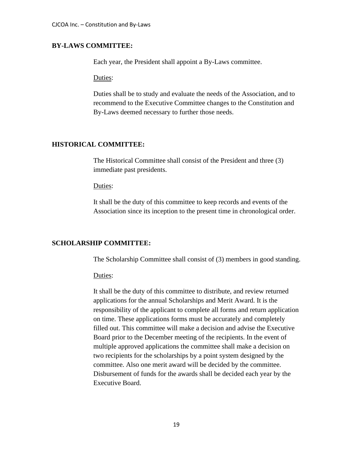#### **BY-LAWS COMMITTEE:**

Each year, the President shall appoint a By-Laws committee.

Duties:

Duties shall be to study and evaluate the needs of the Association, and to recommend to the Executive Committee changes to the Constitution and By-Laws deemed necessary to further those needs.

#### **HISTORICAL COMMITTEE:**

The Historical Committee shall consist of the President and three (3) immediate past presidents.

#### Duties:

It shall be the duty of this committee to keep records and events of the Association since its inception to the present time in chronological order.

#### **SCHOLARSHIP COMMITTEE:**

The Scholarship Committee shall consist of (3) members in good standing.

Duties:

It shall be the duty of this committee to distribute, and review returned applications for the annual Scholarships and Merit Award. It is the responsibility of the applicant to complete all forms and return application on time. These applications forms must be accurately and completely filled out. This committee will make a decision and advise the Executive Board prior to the December meeting of the recipients. In the event of multiple approved applications the committee shall make a decision on two recipients for the scholarships by a point system designed by the committee. Also one merit award will be decided by the committee. Disbursement of funds for the awards shall be decided each year by the Executive Board.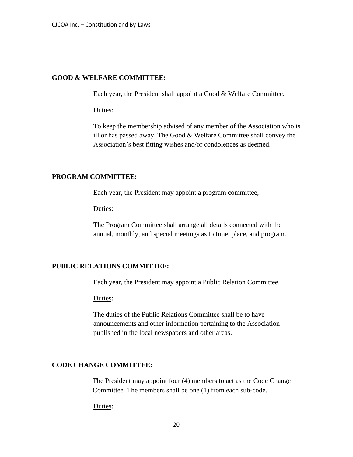#### **GOOD & WELFARE COMMITTEE:**

Each year, the President shall appoint a Good & Welfare Committee.

#### Duties:

To keep the membership advised of any member of the Association who is ill or has passed away. The Good & Welfare Committee shall convey the Association's best fitting wishes and/or condolences as deemed.

#### **PROGRAM COMMITTEE:**

Each year, the President may appoint a program committee,

Duties:

The Program Committee shall arrange all details connected with the annual, monthly, and special meetings as to time, place, and program.

#### **PUBLIC RELATIONS COMMITTEE:**

Each year, the President may appoint a Public Relation Committee.

Duties:

The duties of the Public Relations Committee shall be to have announcements and other information pertaining to the Association published in the local newspapers and other areas.

#### **CODE CHANGE COMMITTEE:**

The President may appoint four (4) members to act as the Code Change Committee. The members shall be one (1) from each sub-code.

Duties: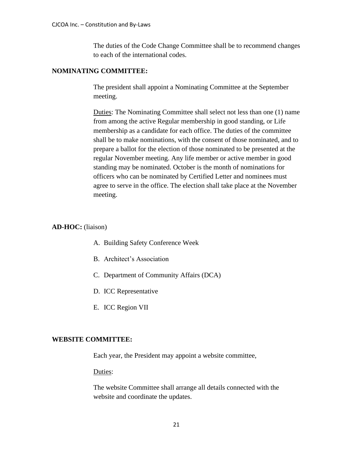The duties of the Code Change Committee shall be to recommend changes to each of the international codes.

#### **NOMINATING COMMITTEE:**

The president shall appoint a Nominating Committee at the September meeting.

Duties: The Nominating Committee shall select not less than one (1) name from among the active Regular membership in good standing, or Life membership as a candidate for each office. The duties of the committee shall be to make nominations, with the consent of those nominated, and to prepare a ballot for the election of those nominated to be presented at the regular November meeting. Any life member or active member in good standing may be nominated. October is the month of nominations for officers who can be nominated by Certified Letter and nominees must agree to serve in the office. The election shall take place at the November meeting.

#### **AD-HOC:** (liaison)

- A. Building Safety Conference Week
- B. Architect's Association
- C. Department of Community Affairs (DCA)
- D. ICC Representative
- E. ICC Region VII

#### **WEBSITE COMMITTEE:**

Each year, the President may appoint a website committee,

Duties:

The website Committee shall arrange all details connected with the website and coordinate the updates.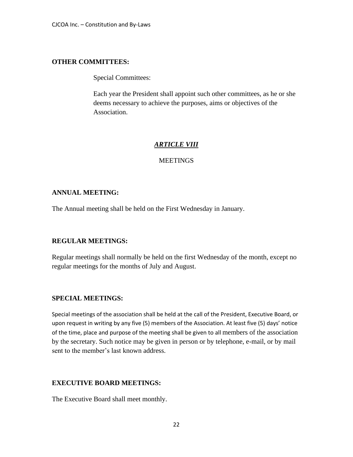#### **OTHER COMMITTEES:**

Special Committees:

Each year the President shall appoint such other committees, as he or she deems necessary to achieve the purposes, aims or objectives of the Association.

#### *ARTICLE VIII*

#### MEETINGS

#### **ANNUAL MEETING:**

The Annual meeting shall be held on the First Wednesday in January.

#### **REGULAR MEETINGS:**

Regular meetings shall normally be held on the first Wednesday of the month, except no regular meetings for the months of July and August.

#### **SPECIAL MEETINGS:**

Special meetings of the association shall be held at the call of the President, Executive Board, or upon request in writing by any five (5) members of the Association. At least five (5) days' notice of the time, place and purpose of the meeting shall be given to all members of the association by the secretary. Such notice may be given in person or by telephone, e-mail, or by mail sent to the member's last known address.

#### **EXECUTIVE BOARD MEETINGS:**

The Executive Board shall meet monthly.